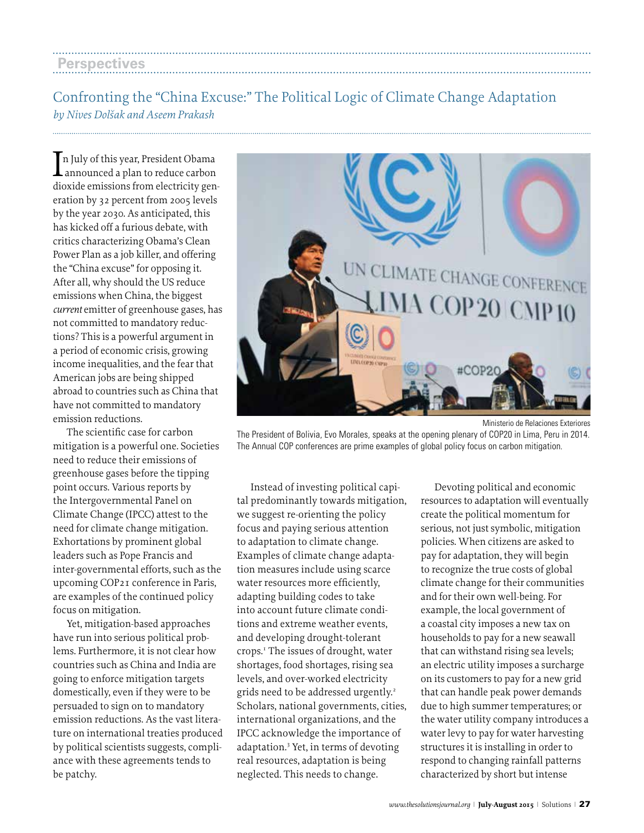## Confronting the "China Excuse:" The Political Logic of Climate Change Adaptation *by Nives Dolšak and Aseem Prakash*

In July of this year, President Obama<br>announced a plan to reduce carbon n July of this year, President Obama dioxide emissions from electricity generation by 32 percent from 2005 levels by the year 2030. As anticipated, this has kicked off a furious debate, with critics characterizing Obama's Clean Power Plan as a job killer, and offering the "China excuse" for opposing it. After all, why should the US reduce emissions when China, the biggest *current* emitter of greenhouse gases, has not committed to mandatory reductions? This is a powerful argument in a period of economic crisis, growing income inequalities, and the fear that American jobs are being shipped abroad to countries such as China that have not committed to mandatory emission reductions.

The scientific case for carbon mitigation is a powerful one. Societies need to reduce their emissions of greenhouse gases before the tipping point occurs. Various reports by the Intergovernmental Panel on Climate Change (IPCC) attest to the need for climate change mitigation. Exhortations by prominent global leaders such as Pope Francis and inter-governmental efforts, such as the upcoming COP21 conference in Paris, are examples of the continued policy focus on mitigation.

Yet, mitigation-based approaches have run into serious political problems. Furthermore, it is not clear how countries such as China and India are going to enforce mitigation targets domestically, even if they were to be persuaded to sign on to mandatory emission reductions. As the vast literature on international treaties produced by political scientists suggests, compliance with these agreements tends to be patchy.



The President of Bolivia, Evo Morales, speaks at the opening plenary of COP20 in Lima, Peru in 2014. The Annual COP conferences are prime examples of global policy focus on carbon mitigation.

Instead of investing political capital predominantly towards mitigation, we suggest re-orienting the policy focus and paying serious attention to adaptation to climate change. Examples of climate change adaptation measures include using scarce water resources more efficiently, adapting building codes to take into account future climate conditions and extreme weather events, and developing drought-tolerant crops.<sup>1</sup> The issues of drought, water shortages, food shortages, rising sea levels, and over-worked electricity grids need to be addressed urgently.<sup>2</sup> Scholars, national governments, cities, international organizations, and the IPCC acknowledge the importance of adaptation.3 Yet, in terms of devoting real resources, adaptation is being neglected. This needs to change.

Devoting political and economic resources to adaptation will eventually create the political momentum for serious, not just symbolic, mitigation policies. When citizens are asked to pay for adaptation, they will begin to recognize the true costs of global climate change for their communities and for their own well-being. For example, the local government of a coastal city imposes a new tax on households to pay for a new seawall that can withstand rising sea levels; an electric utility imposes a surcharge on its customers to pay for a new grid that can handle peak power demands due to high summer temperatures; or the water utility company introduces a water levy to pay for water harvesting structures it is installing in order to respond to changing rainfall patterns characterized by short but intense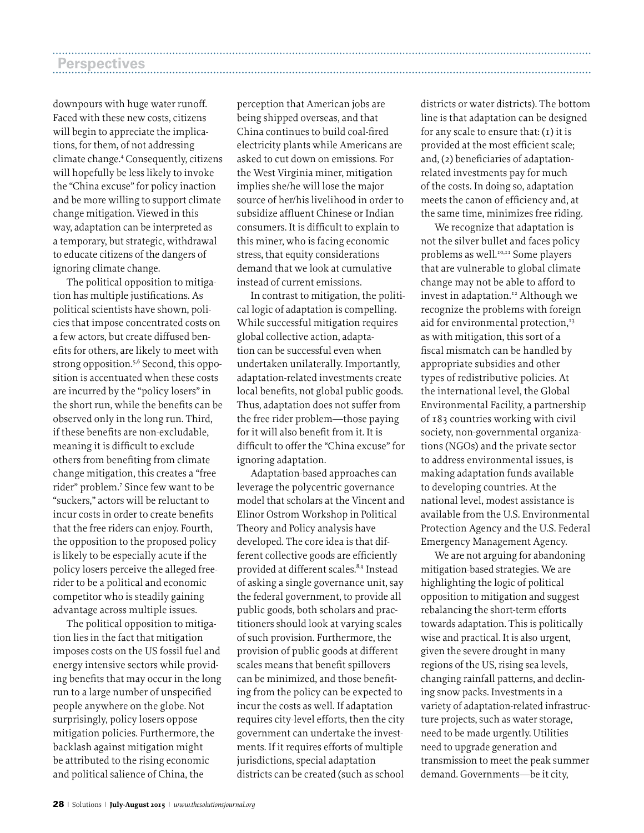| <b>Perspectives</b> |  |
|---------------------|--|
|                     |  |

downpours with huge water runoff. Faced with these new costs, citizens will begin to appreciate the implications, for them*,* of not addressing climate change.4 Consequently, citizens will hopefully be less likely to invoke the "China excuse" for policy inaction and be more willing to support climate change mitigation. Viewed in this way, adaptation can be interpreted as a temporary, but strategic, withdrawal to educate citizens of the dangers of ignoring climate change.

The political opposition to mitigation has multiple justifications. As political scientists have shown, policies that impose concentrated costs on a few actors, but create diffused benefits for others, are likely to meet with strong opposition.<sup>5,6</sup> Second, this opposition is accentuated when these costs are incurred by the "policy losers" in the short run, while the benefits can be observed only in the long run. Third, if these benefits are non-excludable, meaning it is difficult to exclude others from benefiting from climate change mitigation, this creates a "free rider" problem.7 Since few want to be "suckers," actors will be reluctant to incur costs in order to create benefits that the free riders can enjoy. Fourth, the opposition to the proposed policy is likely to be especially acute if the policy losers perceive the alleged freerider to be a political and economic competitor who is steadily gaining advantage across multiple issues.

The political opposition to mitigation lies in the fact that mitigation imposes costs on the US fossil fuel and energy intensive sectors while providing benefits that may occur in the long run to a large number of unspecified people anywhere on the globe. Not surprisingly, policy losers oppose mitigation policies. Furthermore, the backlash against mitigation might be attributed to the rising economic and political salience of China, the

perception that American jobs are being shipped overseas, and that China continues to build coal-fired electricity plants while Americans are asked to cut down on emissions. For the West Virginia miner, mitigation implies she/he will lose the major source of her/his livelihood in order to subsidize affluent Chinese or Indian consumers. It is difficult to explain to this miner, who is facing economic stress, that equity considerations demand that we look at cumulative instead of current emissions.

In contrast to mitigation, the political logic of adaptation is compelling. While successful mitigation requires global collective action, adaptation can be successful even when undertaken unilaterally. Importantly, adaptation-related investments create local benefits, not global public goods. Thus, adaptation does not suffer from the free rider problem—those paying for it will also benefit from it. It is difficult to offer the "China excuse" for ignoring adaptation.

Adaptation-based approaches can leverage the polycentric governance model that scholars at the Vincent and Elinor Ostrom Workshop in Political Theory and Policy analysis have developed. The core idea is that different collective goods are efficiently provided at different scales.<sup>8,9</sup> Instead of asking a single governance unit, say the federal government, to provide all public goods, both scholars and practitioners should look at varying scales of such provision. Furthermore, the provision of public goods at different scales means that benefit spillovers can be minimized, and those benefiting from the policy can be expected to incur the costs as well. If adaptation requires city-level efforts, then the city government can undertake the investments. If it requires efforts of multiple jurisdictions, special adaptation districts can be created (such as school

districts or water districts). The bottom line is that adaptation can be designed for any scale to ensure that:  $(1)$  it is provided at the most efficient scale; and, (2) beneficiaries of adaptationrelated investments pay for much of the costs. In doing so, adaptation meets the canon of efficiency and, at the same time, minimizes free riding.

We recognize that adaptation is not the silver bullet and faces policy problems as well.<sup>10,11</sup> Some players that are vulnerable to global climate change may not be able to afford to invest in adaptation.<sup>12</sup> Although we recognize the problems with foreign aid for environmental protection,<sup>13</sup> as with mitigation, this sort of a fiscal mismatch can be handled by appropriate subsidies and other types of redistributive policies. At the international level, the Global Environmental Facility, a partnership of 183 countries working with civil society, non-governmental organizations (NGOs) and the private sector to address environmental issues, is making adaptation funds available to developing countries. At the national level, modest assistance is available from the U.S. Environmental Protection Agency and the U.S. Federal Emergency Management Agency.

We are not arguing for abandoning mitigation-based strategies. We are highlighting the logic of political opposition to mitigation and suggest rebalancing the short-term efforts towards adaptation. This is politically wise and practical. It is also urgent, given the severe drought in many regions of the US, rising sea levels, changing rainfall patterns, and declining snow packs. Investments in a variety of adaptation-related infrastructure projects, such as water storage, need to be made urgently. Utilities need to upgrade generation and transmission to meet the peak summer demand. Governments—be it city,